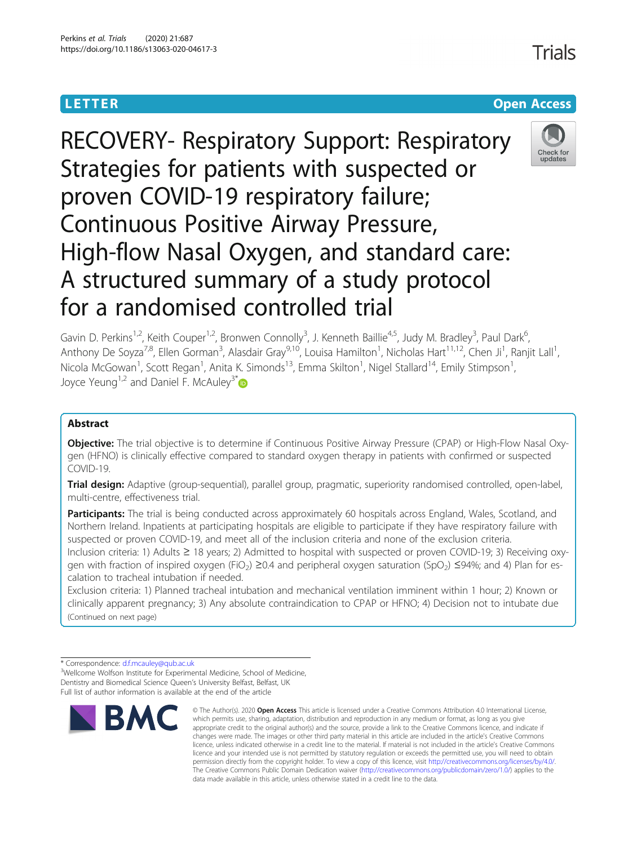**LETTER CONSTRUCTION CONSTRUCTER CONSTRUCTION** 

# RECOVERY- Respiratory Support: Respiratory Strategies for patients with suspected or proven COVID-19 respiratory failure; Continuous Positive Airway Pressure, High-flow Nasal Oxygen, and standard care: A structured summary of a study protocol for a randomised controlled trial



Gavin D. Perkins<sup>1,2</sup>, Keith Couper<sup>1,2</sup>, Bronwen Connolly<sup>3</sup>, J. Kenneth Baillie<sup>4,5</sup>, Judy M. Bradley<sup>3</sup>, Paul Dark<sup>6</sup> י<br>, Anthony De Soyza<sup>7,8</sup>, Ellen Gorman<sup>3</sup>, Alasdair Gray<sup>9,10</sup>, Louisa Hamilton<sup>1</sup>, Nicholas Hart<sup>11,12</sup>, Chen Ji<sup>1</sup>, Ranjit Lall<sup>1</sup> , Nicola McGowan<sup>1</sup>, Scott Regan<sup>1</sup>, Anita K. Simonds<sup>13</sup>, Emma Skilton<sup>1</sup>, Nigel Stallard<sup>14</sup>, Emily Stimpson<sup>1</sup> , Joyce Yeung<sup>1,2</sup> and Daniel F. McAuley<sup>3\*</sup>

# Abstract

Objective: The trial objective is to determine if Continuous Positive Airway Pressure (CPAP) or High-Flow Nasal Oxygen (HFNO) is clinically effective compared to standard oxygen therapy in patients with confirmed or suspected COVID-19.

Trial design: Adaptive (group-sequential), parallel group, pragmatic, superiority randomised controlled, open-label, multi-centre, effectiveness trial.

Participants: The trial is being conducted across approximately 60 hospitals across England, Wales, Scotland, and Northern Ireland. Inpatients at participating hospitals are eligible to participate if they have respiratory failure with suspected or proven COVID-19, and meet all of the inclusion criteria and none of the exclusion criteria. Inclusion criteria: 1) Adults ≥ 18 years; 2) Admitted to hospital with suspected or proven COVID-19; 3) Receiving oxy-

gen with fraction of inspired oxygen (FiO<sub>2</sub>) ≥0.4 and peripheral oxygen saturation (SpO<sub>2</sub>) ≤94%; and 4) Plan for escalation to tracheal intubation if needed.

Exclusion criteria: 1) Planned tracheal intubation and mechanical ventilation imminent within 1 hour; 2) Known or clinically apparent pregnancy; 3) Any absolute contraindication to CPAP or HFNO; 4) Decision not to intubate due (Continued on next page)

\* Correspondence: [d.f.mcauley@qub.ac.uk](mailto:d.f.mcauley@qub.ac.uk) <sup>3</sup>

<sup>3</sup>Wellcome Wolfson Institute for Experimental Medicine, School of Medicine, Dentistry and Biomedical Science Queen's University Belfast, Belfast, UK Full list of author information is available at the end of the article



<sup>©</sup> The Author(s), 2020 **Open Access** This article is licensed under a Creative Commons Attribution 4.0 International License, which permits use, sharing, adaptation, distribution and reproduction in any medium or format, as long as you give appropriate credit to the original author(s) and the source, provide a link to the Creative Commons licence, and indicate if changes were made. The images or other third party material in this article are included in the article's Creative Commons licence, unless indicated otherwise in a credit line to the material. If material is not included in the article's Creative Commons licence and your intended use is not permitted by statutory regulation or exceeds the permitted use, you will need to obtain permission directly from the copyright holder. To view a copy of this licence, visit [http://creativecommons.org/licenses/by/4.0/.](http://creativecommons.org/licenses/by/4.0/) The Creative Commons Public Domain Dedication waiver [\(http://creativecommons.org/publicdomain/zero/1.0/](http://creativecommons.org/publicdomain/zero/1.0/)) applies to the data made available in this article, unless otherwise stated in a credit line to the data.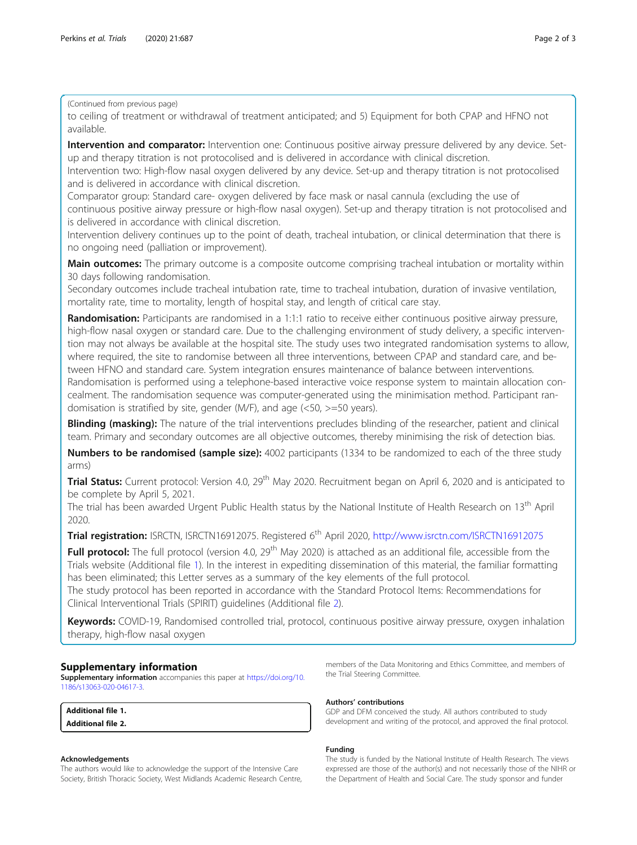(Continued from previous page)

to ceiling of treatment or withdrawal of treatment anticipated; and 5) Equipment for both CPAP and HFNO not available.

Intervention and comparator: Intervention one: Continuous positive airway pressure delivered by any device. Setup and therapy titration is not protocolised and is delivered in accordance with clinical discretion.

Intervention two: High-flow nasal oxygen delivered by any device. Set-up and therapy titration is not protocolised and is delivered in accordance with clinical discretion.

Comparator group: Standard care- oxygen delivered by face mask or nasal cannula (excluding the use of continuous positive airway pressure or high-flow nasal oxygen). Set-up and therapy titration is not protocolised and is delivered in accordance with clinical discretion.

Intervention delivery continues up to the point of death, tracheal intubation, or clinical determination that there is no ongoing need (palliation or improvement).

Main outcomes: The primary outcome is a composite outcome comprising tracheal intubation or mortality within 30 days following randomisation.

Secondary outcomes include tracheal intubation rate, time to tracheal intubation, duration of invasive ventilation, mortality rate, time to mortality, length of hospital stay, and length of critical care stay.

Randomisation: Participants are randomised in a 1:1:1 ratio to receive either continuous positive airway pressure, high-flow nasal oxygen or standard care. Due to the challenging environment of study delivery, a specific intervention may not always be available at the hospital site. The study uses two integrated randomisation systems to allow, where required, the site to randomise between all three interventions, between CPAP and standard care, and between HFNO and standard care. System integration ensures maintenance of balance between interventions. Randomisation is performed using a telephone-based interactive voice response system to maintain allocation concealment. The randomisation sequence was computer-generated using the minimisation method. Participant randomisation is stratified by site, gender (M/F), and age (<50, >=50 years).

Blinding (masking): The nature of the trial interventions precludes blinding of the researcher, patient and clinical team. Primary and secondary outcomes are all objective outcomes, thereby minimising the risk of detection bias.

Numbers to be randomised (sample size): 4002 participants (1334 to be randomized to each of the three study arms)

**Trial Status:** Current protocol: Version 4.0, 29<sup>th</sup> May 2020. Recruitment began on April 6, 2020 and is anticipated to be complete by April 5, 2021.

The trial has been awarded Urgent Public Health status by the National Institute of Health Research on 13<sup>th</sup> April 2020.

Trial registration: ISRCTN, ISRCTN16912075. Registered 6<sup>th</sup> April 2020, <http://www.isrctn.com/ISRCTN16912075>

Full protocol: The full protocol (version 4.0, 29<sup>th</sup> May 2020) is attached as an additional file, accessible from the Trials website (Additional file 1). In the interest in expediting dissemination of this material, the familiar formatting has been eliminated; this Letter serves as a summary of the key elements of the full protocol.

The study protocol has been reported in accordance with the Standard Protocol Items: Recommendations for Clinical Interventional Trials (SPIRIT) guidelines (Additional file 2).

Keywords: COVID-19, Randomised controlled trial, protocol, continuous positive airway pressure, oxygen inhalation therapy, high-flow nasal oxygen

## Supplementary information

Supplementary information accompanies this paper at [https://doi.org/10.](https://doi.org/10.1186/s13063-020-04617-3) [1186/s13063-020-04617-3](https://doi.org/10.1186/s13063-020-04617-3).

| <b>Additional file 1.</b> |  |
|---------------------------|--|
| <b>Additional file 2.</b> |  |

#### Acknowledgements

The authors would like to acknowledge the support of the Intensive Care Society, British Thoracic Society, West Midlands Academic Research Centre,

members of the Data Monitoring and Ethics Committee, and members of the Trial Steering Committee.

### Authors' contributions

GDP and DFM conceived the study. All authors contributed to study development and writing of the protocol, and approved the final protocol.

#### Funding

The study is funded by the National Institute of Health Research. The views expressed are those of the author(s) and not necessarily those of the NIHR or the Department of Health and Social Care. The study sponsor and funder